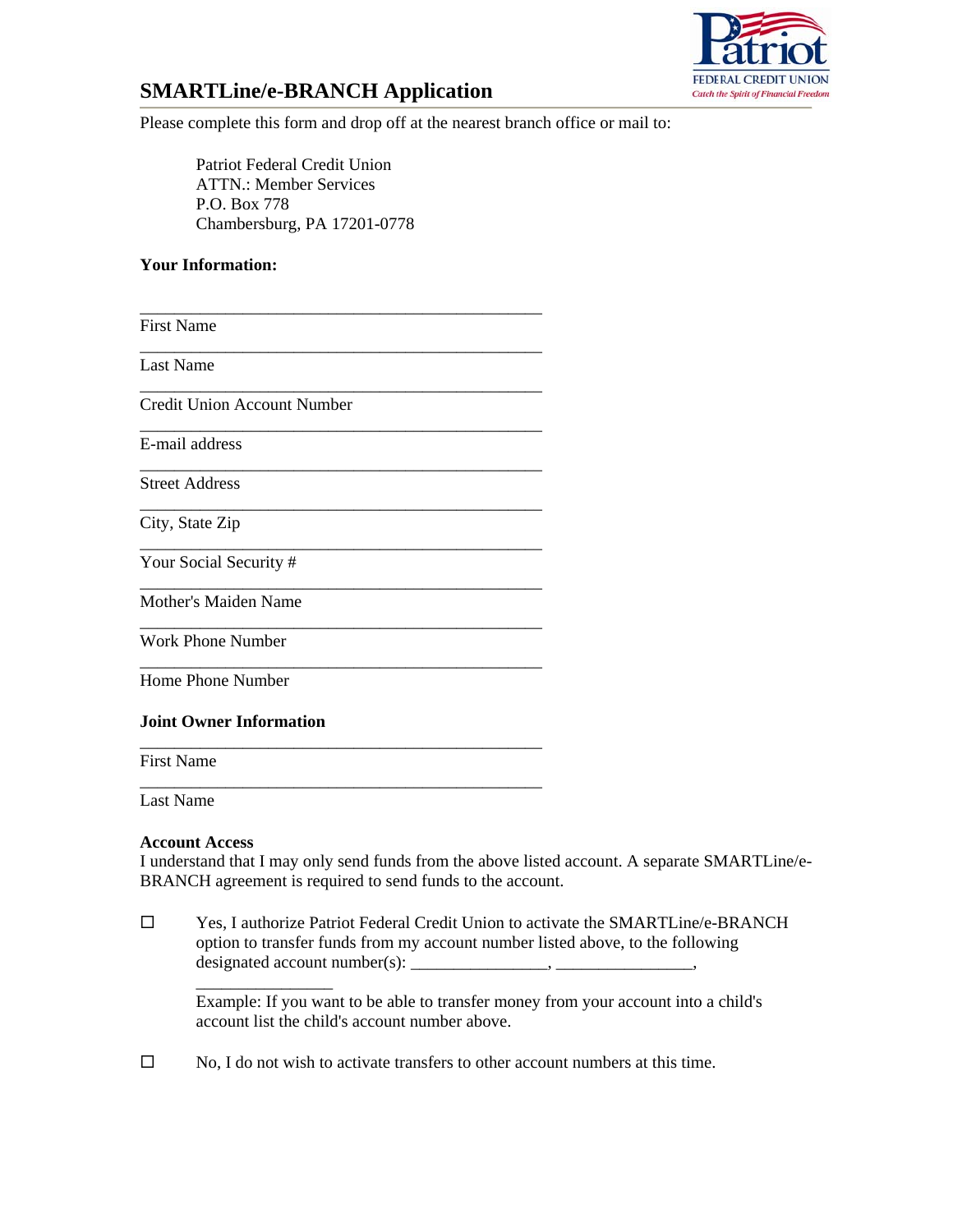

# **SMARTLine/e-BRANCH Application**

Please complete this form and drop off at the nearest branch office or mail to:

Patriot Federal Credit Union ATTN.: Member Services P.O. Box 778 Chambersburg, PA 17201-0778

## **Your Information:**

\_\_\_\_\_\_\_\_\_\_\_\_\_\_\_\_\_\_\_\_\_\_\_\_\_\_\_\_\_\_\_\_\_\_\_\_\_\_\_\_\_\_\_\_\_\_\_ First Name \_\_\_\_\_\_\_\_\_\_\_\_\_\_\_\_\_\_\_\_\_\_\_\_\_\_\_\_\_\_\_\_\_\_\_\_\_\_\_\_\_\_\_\_\_\_\_ Last Name \_\_\_\_\_\_\_\_\_\_\_\_\_\_\_\_\_\_\_\_\_\_\_\_\_\_\_\_\_\_\_\_\_\_\_\_\_\_\_\_\_\_\_\_\_\_\_ Credit Union Account Number \_\_\_\_\_\_\_\_\_\_\_\_\_\_\_\_\_\_\_\_\_\_\_\_\_\_\_\_\_\_\_\_\_\_\_\_\_\_\_\_\_\_\_\_\_\_\_ E-mail address \_\_\_\_\_\_\_\_\_\_\_\_\_\_\_\_\_\_\_\_\_\_\_\_\_\_\_\_\_\_\_\_\_\_\_\_\_\_\_\_\_\_\_\_\_\_\_ Street Address \_\_\_\_\_\_\_\_\_\_\_\_\_\_\_\_\_\_\_\_\_\_\_\_\_\_\_\_\_\_\_\_\_\_\_\_\_\_\_\_\_\_\_\_\_\_\_ City, State Zip \_\_\_\_\_\_\_\_\_\_\_\_\_\_\_\_\_\_\_\_\_\_\_\_\_\_\_\_\_\_\_\_\_\_\_\_\_\_\_\_\_\_\_\_\_\_\_ Your Social Security # \_\_\_\_\_\_\_\_\_\_\_\_\_\_\_\_\_\_\_\_\_\_\_\_\_\_\_\_\_\_\_\_\_\_\_\_\_\_\_\_\_\_\_\_\_\_\_ Mother's Maiden Name \_\_\_\_\_\_\_\_\_\_\_\_\_\_\_\_\_\_\_\_\_\_\_\_\_\_\_\_\_\_\_\_\_\_\_\_\_\_\_\_\_\_\_\_\_\_\_ Work Phone Number \_\_\_\_\_\_\_\_\_\_\_\_\_\_\_\_\_\_\_\_\_\_\_\_\_\_\_\_\_\_\_\_\_\_\_\_\_\_\_\_\_\_\_\_\_\_\_ Home Phone Number **Joint Owner Information** \_\_\_\_\_\_\_\_\_\_\_\_\_\_\_\_\_\_\_\_\_\_\_\_\_\_\_\_\_\_\_\_\_\_\_\_\_\_\_\_\_\_\_\_\_\_\_

First Name \_\_\_\_\_\_\_\_\_\_\_\_\_\_\_\_\_\_\_\_\_\_\_\_\_\_\_\_\_\_\_\_\_\_\_\_\_\_\_\_\_\_\_\_\_\_\_

Last Name

#### **Account Access**

\_\_\_\_\_\_\_\_\_\_\_\_\_\_\_\_

I understand that I may only send funds from the above listed account. A separate SMARTLine/e-BRANCH agreement is required to send funds to the account.

 Yes, I authorize Patriot Federal Credit Union to activate the SMARTLine/e-BRANCH option to transfer funds from my account number listed above, to the following designated account number(s): \_\_\_\_\_\_\_\_\_\_\_\_\_\_\_\_, \_\_\_\_\_\_\_\_\_\_\_\_\_\_\_\_,

Example: If you want to be able to transfer money from your account into a child's account list the child's account number above.

 $\square$  No, I do not wish to activate transfers to other account numbers at this time.